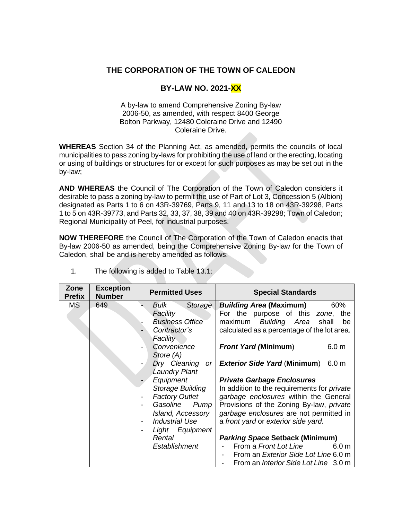## **THE CORPORATION OF THE TOWN OF CALEDON**

## **BY-LAW NO. 2021-XX**

## A by-law to amend Comprehensive Zoning By-law 2006-50, as amended, with respect 8400 George Bolton Parkway, 12480 Coleraine Drive and 12490 Coleraine Drive.

**WHEREAS** Section 34 of the Planning Act, as amended, permits the councils of local municipalities to pass zoning by-laws for prohibiting the use of land or the erecting, locating or using of buildings or structures for or except for such purposes as may be set out in the by-law;

**AND WHEREAS** the Council of The Corporation of the Town of Caledon considers it desirable to pass a zoning by-law to permit the use of Part of Lot 3, Concession 5 (Albion) designated as Parts 1 to 6 on 43R-39769, Parts 9, 11 and 13 to 18 on 43R-39298, Parts 1 to 5 on 43R-39773, and Parts 32, 33, 37, 38, 39 and 40 on 43R-39298; Town of Caledon; Regional Municipality of Peel, for industrial purposes.

**NOW THEREFORE** the Council of The Corporation of the Town of Caledon enacts that By-law 2006-50 as amended, being the Comprehensive Zoning By-law for the Town of Caledon, shall be and is hereby amended as follows:

| Zone<br><b>Prefix</b> | <b>Exception</b><br><b>Number</b> | <b>Permitted Uses</b>                                                                                                                                                                                                                                                                                                                 | <b>Special Standards</b>                                                                                                                                                                                                                                                                                                                                                                                                                                                                                                                                                                                                                          |
|-----------------------|-----------------------------------|---------------------------------------------------------------------------------------------------------------------------------------------------------------------------------------------------------------------------------------------------------------------------------------------------------------------------------------|---------------------------------------------------------------------------------------------------------------------------------------------------------------------------------------------------------------------------------------------------------------------------------------------------------------------------------------------------------------------------------------------------------------------------------------------------------------------------------------------------------------------------------------------------------------------------------------------------------------------------------------------------|
| <b>MS</b>             | 649                               | Bulk<br>Storage<br>Facility<br><b>Business Office</b><br>Contractor's<br>Facility<br>Convenience<br>Store (A)<br>Dry Cleaning<br><b>or</b><br><b>Laundry Plant</b><br>Equipment<br>Storage Building<br><b>Factory Outlet</b><br>Gasoline<br>Pump<br>Island, Accessory<br>Industrial Use<br>Light Equipment<br>Rental<br>Establishment | <b>Building Area (Maximum)</b><br>60%<br>For the purpose of this<br>the<br>zone,<br>Building Area<br>maximum<br>shall<br>be<br>calculated as a percentage of the lot area.<br><b>Front Yard (Minimum)</b><br>6.0 <sub>m</sub><br><b>Exterior Side Yard (Minimum)</b><br>6.0 <sub>m</sub><br><b>Private Garbage Enclosures</b><br>In addition to the requirements for <i>private</i><br>garbage enclosures within the General<br>Provisions of the Zoning By-law, private<br>garbage enclosures are not permitted in<br>a front yard or exterior side yard.<br><b>Parking Space Setback (Minimum)</b><br>From a Front Lot Line<br>6.0 <sub>m</sub> |
|                       |                                   |                                                                                                                                                                                                                                                                                                                                       | From an <i>Exterior Side Lot Line</i> 6.0 m<br>From an <i>Interior Side Lot Line</i> 3.0 m                                                                                                                                                                                                                                                                                                                                                                                                                                                                                                                                                        |

1. The following is added to Table 13.1: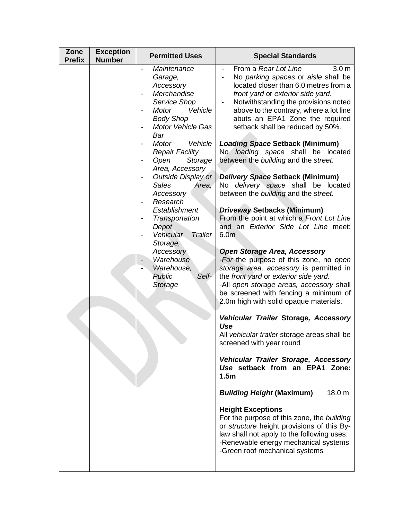| Zone<br><b>Prefix</b> | <b>Exception</b><br><b>Number</b> | <b>Permitted Uses</b>                                                                                                                                                                                                                                                                                                                                                                                                                                                         | <b>Special Standards</b>                                                                                                                                                                                                                                                                                                                                                                                                                                                                                                                                                                                                                                                                                                                                                                                                                                                                                                                                                                                                                                                                                                                                                                                                                                                                                                                                                                                                                                                                                                                 |
|-----------------------|-----------------------------------|-------------------------------------------------------------------------------------------------------------------------------------------------------------------------------------------------------------------------------------------------------------------------------------------------------------------------------------------------------------------------------------------------------------------------------------------------------------------------------|------------------------------------------------------------------------------------------------------------------------------------------------------------------------------------------------------------------------------------------------------------------------------------------------------------------------------------------------------------------------------------------------------------------------------------------------------------------------------------------------------------------------------------------------------------------------------------------------------------------------------------------------------------------------------------------------------------------------------------------------------------------------------------------------------------------------------------------------------------------------------------------------------------------------------------------------------------------------------------------------------------------------------------------------------------------------------------------------------------------------------------------------------------------------------------------------------------------------------------------------------------------------------------------------------------------------------------------------------------------------------------------------------------------------------------------------------------------------------------------------------------------------------------------|
|                       |                                   | Maintenance<br>Garage,<br>Accessory<br>Merchandise<br>Service Shop<br>Vehicle<br><b>Motor</b><br><b>Body Shop</b><br>Motor Vehicle Gas<br>Bar<br><b>Motor</b><br>Vehicle<br><b>Repair Facility</b><br>Open<br>Storage<br>Area, Accessory<br>Outside Display or<br><b>Sales</b><br>Area,<br>Accessory<br>Research<br>Establishment<br>Transportation<br>Depot<br>Vehicular<br>Trailer<br>Storage,<br>Accessory<br>Warehouse<br>Warehouse,<br>Self-<br><b>Public</b><br>Storage | From a Rear Lot Line<br>3.0 <sub>m</sub><br>No parking spaces or aisle shall be<br>located closer than 6.0 metres from a<br>front yard or exterior side yard.<br>Notwithstanding the provisions noted<br>above to the contrary, where a lot line<br>abuts an EPA1 Zone the required<br>setback shall be reduced by 50%.<br><b>Loading Space Setback (Minimum)</b><br>No loading space shall be located<br>between the building and the street.<br>Delivery Space Setback (Minimum)<br>No delivery space shall be located<br>between the building and the street.<br><b>Driveway Setbacks (Minimum)</b><br>From the point at which a Front Lot Line<br>and an Exterior Side Lot Line meet:<br>6.0 <sub>m</sub><br><b>Open Storage Area, Accessory</b><br>-For the purpose of this zone, no open<br>storage area, accessory is permitted in<br>the front yard or exterior side yard.<br>-All open storage areas, accessory shall<br>be screened with fencing a minimum of<br>2.0m high with solid opaque materials.<br>Vehicular Trailer Storage, Accessory<br>Use<br>All vehicular trailer storage areas shall be<br>screened with year round<br>Vehicular Trailer Storage, Accessory<br>Use setback from an EPA1 Zone:<br>1.5 <sub>m</sub><br><b>Building Height (Maximum)</b><br>18.0 m<br><b>Height Exceptions</b><br>For the purpose of this zone, the building<br>or structure height provisions of this By-<br>law shall not apply to the following uses:<br>-Renewable energy mechanical systems<br>-Green roof mechanical systems |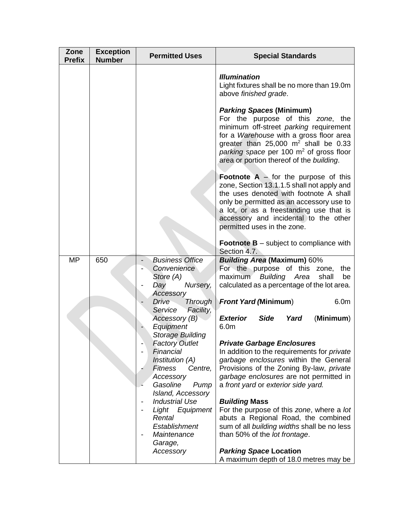| Zone<br><b>Prefix</b> | <b>Exception</b><br><b>Number</b> | <b>Permitted Uses</b>                                                                                              | <b>Special Standards</b>                                                                                                                                                                                                                                                                                 |
|-----------------------|-----------------------------------|--------------------------------------------------------------------------------------------------------------------|----------------------------------------------------------------------------------------------------------------------------------------------------------------------------------------------------------------------------------------------------------------------------------------------------------|
|                       |                                   |                                                                                                                    | <b>Illumination</b><br>Light fixtures shall be no more than 19.0m<br>above finished grade.                                                                                                                                                                                                               |
|                       |                                   |                                                                                                                    | <b>Parking Spaces (Minimum)</b><br>For the purpose of this zone, the<br>minimum off-street parking requirement<br>for a Warehouse with a gross floor area<br>greater than $25,000$ m <sup>2</sup> shall be 0.33<br>parking space per 100 $m2$ of gross floor<br>area or portion thereof of the building. |
|                       |                                   |                                                                                                                    | <b>Footnote A</b> $-$ for the purpose of this<br>zone, Section 13.1.1.5 shall not apply and<br>the uses denoted with footnote A shall<br>only be permitted as an accessory use to<br>a lot, or as a freestanding use that is<br>accessory and incidental to the other<br>permitted uses in the zone.     |
|                       |                                   |                                                                                                                    | <b>Footnote B</b> – subject to compliance with<br>Section 4.7.                                                                                                                                                                                                                                           |
| <b>MP</b>             | 650                               | <b>Business Office</b><br>Convenience<br>Store (A)<br>Day<br>Nursery,                                              | <b>Building Area (Maximum) 60%</b><br>For the purpose of this zone,<br>the<br>Building Area<br>shall<br>maximum<br>be<br>calculated as a percentage of the lot area.                                                                                                                                     |
|                       |                                   | Accessory<br><b>Drive</b><br><b>Through</b><br>Service<br>Facility,                                                | <b>Front Yard (Minimum)</b><br>6.0 <sub>m</sub>                                                                                                                                                                                                                                                          |
|                       |                                   | Accessory (B)<br>Equipment                                                                                         | <b>Exterior</b><br><b>Side</b><br>Yard<br>(Minimum)<br>6.0m                                                                                                                                                                                                                                              |
|                       |                                   | <b>Storage Building</b><br><b>Factory Outlet</b><br>Financial<br>Institution (A)                                   | <b>Private Garbage Enclosures</b><br>In addition to the requirements for <i>private</i><br>garbage enclosures within the General                                                                                                                                                                         |
|                       |                                   | <b>Fitness</b><br>Centre,<br>Accessory<br>Gasoline<br>Pump                                                         | Provisions of the Zoning By-law, private<br>garbage enclosures are not permitted in<br>a front yard or exterior side yard.                                                                                                                                                                               |
|                       |                                   | Island, Accessory<br><b>Industrial Use</b><br>Light Equipment<br>Rental<br>Establishment<br>Maintenance<br>Garage, | <b>Building Mass</b><br>For the purpose of this zone, where a lot<br>abuts a Regional Road, the combined<br>sum of all building widths shall be no less<br>than 50% of the lot frontage.                                                                                                                 |
|                       |                                   | Accessory                                                                                                          | <b>Parking Space Location</b><br>A maximum depth of 18.0 metres may be                                                                                                                                                                                                                                   |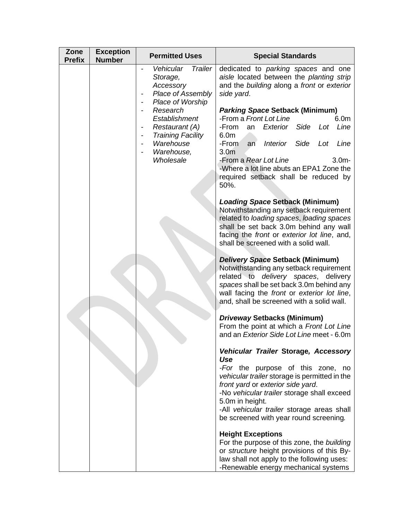| Zone<br><b>Prefix</b> | <b>Exception</b><br><b>Number</b> | <b>Permitted Uses</b>                                                                                                  | <b>Special Standards</b>                                                                                                                                                                                                                                                                                                        |
|-----------------------|-----------------------------------|------------------------------------------------------------------------------------------------------------------------|---------------------------------------------------------------------------------------------------------------------------------------------------------------------------------------------------------------------------------------------------------------------------------------------------------------------------------|
|                       |                                   | Vehicular<br><b>Trailer</b><br>Storage,<br>Accessory<br>Place of Assembly<br>Place of Worship                          | dedicated to <i>parking</i> spaces and one<br>aisle located between the planting strip<br>and the building along a front or exterior<br>side yard.                                                                                                                                                                              |
|                       |                                   | Research<br>Establishment<br><b>Restaurant (A)</b><br><b>Training Facility</b><br>Warehouse<br>Warehouse,<br>Wholesale | <b>Parking Space Setback (Minimum)</b><br>-From a Front Lot Line<br>6.0m<br>Side<br>-From<br>Exterior<br>Lot<br>Line<br>an<br>6.0m<br>Side<br>-From<br>Interior<br>Lot<br>Line<br>an<br>3.0 <sub>m</sub><br>-From a Rear Lot Line<br>3.0 <sub>m</sub><br>-Where a lot line abuts an EPA1 Zone the                               |
|                       |                                   |                                                                                                                        | required setback shall be reduced by<br>50%.<br><b>Loading Space Setback (Minimum)</b><br>Notwithstanding any setback requirement<br>related to loading spaces, loading spaces<br>shall be set back 3.0m behind any wall<br>facing the front or exterior lot line, and,<br>shall be screened with a solid wall.                 |
|                       |                                   |                                                                                                                        | Delivery Space Setback (Minimum)<br>Notwithstanding any setback requirement<br>related to <i>delivery</i> spaces, delivery<br>spaces shall be set back 3.0m behind any<br>wall facing the front or exterior lot line,<br>and, shall be screened with a solid wall.                                                              |
|                       |                                   |                                                                                                                        | Driveway Setbacks (Minimum)<br>From the point at which a Front Lot Line<br>and an Exterior Side Lot Line meet - 6.0m                                                                                                                                                                                                            |
|                       |                                   |                                                                                                                        | Vehicular Trailer Storage, Accessory<br>Use<br>-For the purpose of this zone, no<br>vehicular trailer storage is permitted in the<br>front yard or exterior side yard.<br>-No vehicular trailer storage shall exceed<br>5.0m in height.<br>-All vehicular trailer storage areas shall<br>be screened with year round screening. |
|                       |                                   |                                                                                                                        | <b>Height Exceptions</b><br>For the purpose of this zone, the building<br>or structure height provisions of this By-<br>law shall not apply to the following uses:<br>-Renewable energy mechanical systems                                                                                                                      |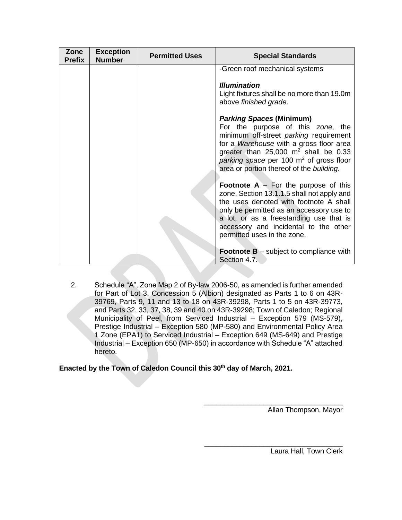| Zone<br><b>Prefix</b> | <b>Exception</b><br><b>Number</b> | <b>Permitted Uses</b> | <b>Special Standards</b>                                                                                                                                                                                                                                                                                                                                                                                                                                                                                                             |
|-----------------------|-----------------------------------|-----------------------|--------------------------------------------------------------------------------------------------------------------------------------------------------------------------------------------------------------------------------------------------------------------------------------------------------------------------------------------------------------------------------------------------------------------------------------------------------------------------------------------------------------------------------------|
|                       |                                   |                       | -Green roof mechanical systems<br><b>Illumination</b><br>Light fixtures shall be no more than 19.0m<br>above finished grade.<br><b>Parking Spaces (Minimum)</b><br>For the purpose of this zone, the<br>minimum off-street parking requirement<br>for a Warehouse with a gross floor area<br>greater than $25,000 \text{ m}^2$ shall be 0.33<br>parking space per 100 $m2$ of gross floor<br>area or portion thereof of the building.<br><b>Footnote A</b> $-$ For the purpose of this<br>zone, Section 13.1.1.5 shall not apply and |
|                       |                                   |                       | the uses denoted with footnote A shall<br>only be permitted as an accessory use to<br>a lot, or as a freestanding use that is<br>accessory and incidental to the other<br>permitted uses in the zone.<br><b>Footnote B</b> $-$ subject to compliance with<br>Section 4.7.                                                                                                                                                                                                                                                            |

2. Schedule "A", Zone Map 2 of By-law 2006-50, as amended is further amended for Part of Lot 3, Concession 5 (Albion) designated as Parts 1 to 6 on 43R-39769, Parts 9, 11 and 13 to 18 on 43R-39298, Parts 1 to 5 on 43R-39773, and Parts 32, 33, 37, 38, 39 and 40 on 43R-39298; Town of Caledon; Regional Municipality of Peel, from Serviced Industrial – Exception 579 (MS-579), Prestige Industrial – Exception 580 (MP-580) and Environmental Policy Area 1 Zone (EPA1) to Serviced Industrial – Exception 649 (MS-649) and Prestige Industrial – Exception 650 (MP-650) in accordance with Schedule "A" attached hereto.

**Enacted by the Town of Caledon Council this 30th day of March, 2021.**

\_\_\_\_\_\_\_\_\_\_\_\_\_\_\_\_\_\_\_\_\_\_\_\_\_\_\_\_\_\_\_\_\_\_\_ Allan Thompson, Mayor

Laura Hall, Town Clerk

\_\_\_\_\_\_\_\_\_\_\_\_\_\_\_\_\_\_\_\_\_\_\_\_\_\_\_\_\_\_\_\_\_\_\_